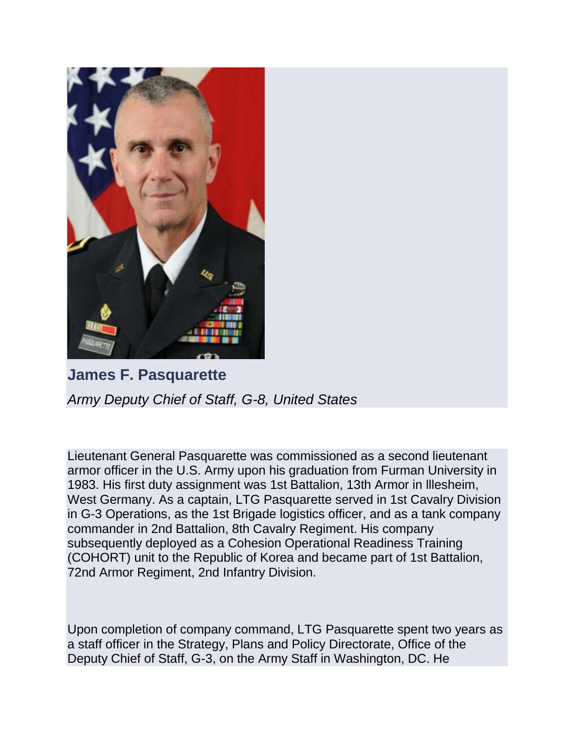

**James F. Pasquarette** *Army Deputy Chief of Staff, G-8, United States*

Lieutenant General Pasquarette was commissioned as a second lieutenant armor officer in the U.S. Army upon his graduation from Furman University in 1983. His first duty assignment was 1st Battalion, 13th Armor in lllesheim, West Germany. As a captain, LTG Pasquarette served in 1st Cavalry Division in G-3 Operations, as the 1st Brigade logistics officer, and as a tank company commander in 2nd Battalion, 8th Cavalry Regiment. His company subsequently deployed as a Cohesion Operational Readiness Training (COHORT) unit to the Republic of Korea and became part of 1st Battalion, 72nd Armor Regiment, 2nd Infantry Division.

Upon completion of company command, LTG Pasquarette spent two years as a staff officer in the Strategy, Plans and Policy Directorate, Office of the Deputy Chief of Staff, G-3, on the Army Staff in Washington, DC. He